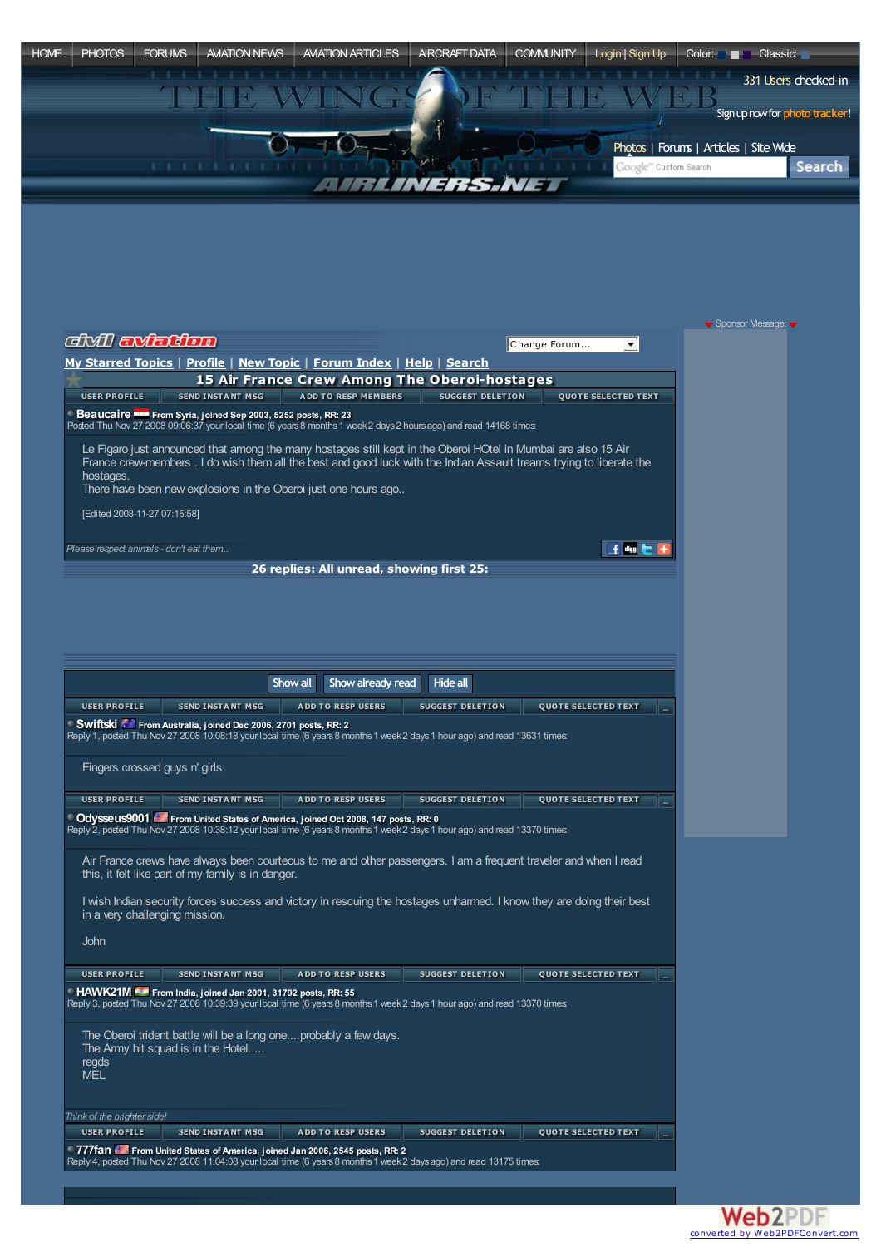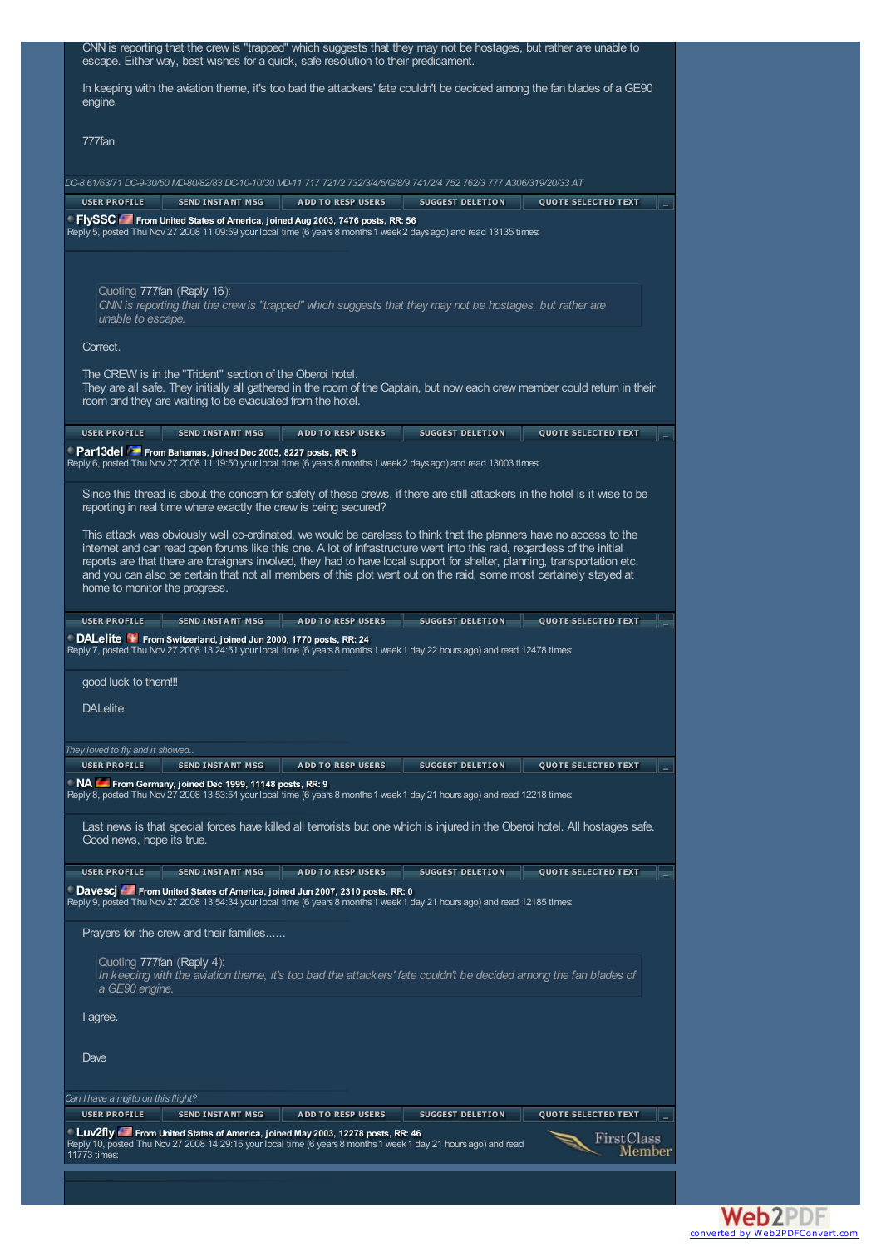| escape. Either way, best wishes for a quick, safe resolution to their predicament.                                                                                                                                                                   |
|------------------------------------------------------------------------------------------------------------------------------------------------------------------------------------------------------------------------------------------------------|
|                                                                                                                                                                                                                                                      |
| In keeping with the aviation theme, it's too bad the attackers' fate couldn't be decided among the fan blades of a GE90<br>engine.                                                                                                                   |
| 777fan                                                                                                                                                                                                                                               |
| DC-8 61/63/71 DC-9-30/50 MD-80/82/83 DC-10-10/30 MD-11 717 721/2 732/3/4/5/G/8/9 741/2/4 752 762/3 777 A306/319/20/33 AT                                                                                                                             |
| <b>USER PROFILE</b><br><b>SEND INSTANT MSG</b><br><b>ADD TO RESP USERS</b><br><b>SUGGEST DELETION</b><br><b>QUOTE SELECTED TEXT</b>                                                                                                                  |
| FlySSC From United States of America, joined Aug 2003, 7476 posts, RR: 56<br>Reply 5, posted Thu Nov 27 2008 11:09:59 your local time (6 years 8 months 1 week 2 days ago) and read 13135 times:                                                     |
| Quoting 777fan (Reply 16):<br>CNN is reporting that the crew is "trapped" which suggests that they may not be hostages, but rather are<br>unable to escape.                                                                                          |
| Correct.                                                                                                                                                                                                                                             |
| The CREW is in the "Trident" section of the Oberoi hotel.<br>They are all safe. They initially all gathered in the room of the Captain, but now each crew member could return in their<br>room and they are waiting to be evacuated from the hotel.  |
| <b>USER PROFILE</b><br><b>SEND INSTANT MSG</b><br><b>ADD TO RESP USERS</b><br><b>SUGGEST DELETION</b><br><b>QUOTE SELECTED TEXT</b>                                                                                                                  |
| Par13del From Bahamas, joined Dec 2005, 8227 posts, RR: 8<br>Reply 6, posted Thu Nov 27 2008 11:19:50 your local time (6 years 8 months 1 week 2 days ago) and read 13003 times:                                                                     |
| Since this thread is about the concem for safety of these crews, if there are still attackers in the hotel is it wise to be<br>reporting in real time where exactly the crew is being secured?                                                       |
| This attack was obviously well co-ordinated, we would be careless to think that the planners have no access to the                                                                                                                                   |
| internet and can read open forums like this one. A lot of infrastructure went into this raid, regardless of the initial<br>reports are that there are foreigners involved, they had to have local support for shelter, planning, transportation etc. |
| and you can also be certain that not all members of this plot went out on the raid, some most certainely stayed at                                                                                                                                   |
| home to monitor the progress.                                                                                                                                                                                                                        |
| <b>SEND INSTANT MSG</b><br><b>USER PROFILE</b><br><b>ADD TO RESP USERS</b><br><b>SUGGEST DELETION</b><br><b>QUOTE SELECTED TEXT</b>                                                                                                                  |
| <b>DALelite +</b> From Switzerland, joined Jun 2000, 1770 posts, RR: 24<br>Reply 7, posted Thu Nov 27 2008 13:24:51 your local time (6 years 8 months 1 week 1 day 22 hours ago) and read 12478 times:                                               |
| good luck to them!!!                                                                                                                                                                                                                                 |
| <b>DALelite</b>                                                                                                                                                                                                                                      |
|                                                                                                                                                                                                                                                      |
| They loved to fly and it showed                                                                                                                                                                                                                      |
| <b>USER PROFILE</b><br><b>SEND INSTANT MSG</b><br><b>ADD TO RESP USERS</b><br><b>SUGGEST DELETION</b><br><b>OUOTE SELECTED TEXT</b>                                                                                                                  |
| NA From Germany, joined Dec 1999, 11148 posts, RR: 9<br>Reply 8, posted Thu Nov 27 2008 13:53:54 your local time (6 years 8 months 1 week 1 day 21 hours ago) and read 12218 times:                                                                  |
|                                                                                                                                                                                                                                                      |
| Last news is that special forces have killed all terrorists but one which is injured in the Oberoi hotel. All hostages safe.<br>Good news, hope its true.                                                                                            |
| <b>USER PROFILE</b><br><b>SEND INSTANT MSG</b><br><b>ADD TO RESP USERS</b><br>SUGGEST DELETION<br><b>QUOTE SELECTED TEXT</b>                                                                                                                         |
| <b>Davesci</b> From United States of America, joined Jun 2007, 2310 posts, RR: 0<br>Reply 9, posted Thu Nov 27 2008 13:54:34 your local time (6 years 8 months 1 week 1 day 21 hours ago) and read 12185 times:                                      |
| Prayers for the crew and their families                                                                                                                                                                                                              |
| Quoting 777fan (Reply 4):<br>In keeping with the aviation theme, it's too bad the attackers' fate couldn't be decided among the fan blades of<br>a GE90 engine.                                                                                      |
| I agree.                                                                                                                                                                                                                                             |
| Dave                                                                                                                                                                                                                                                 |
|                                                                                                                                                                                                                                                      |
| Can I have a mojito on this flight?<br><b>USER PROFILE</b><br><b>SEND INSTANT MSG</b><br><b>ADD TO RESP USERS</b><br><b>SUGGEST DELETION</b><br><b>QUOTE SELECTED TEXT</b>                                                                           |
| Luv2fly From United States of America, joined May 2003, 12278 posts, RR: 46<br>FirstClass<br>Reply 10, posted Thu Nov 27 2008 14:29:15 your local time (6 years 8 months 1 week 1 day 21 hours ago) and read<br>Member<br>11773 times:               |

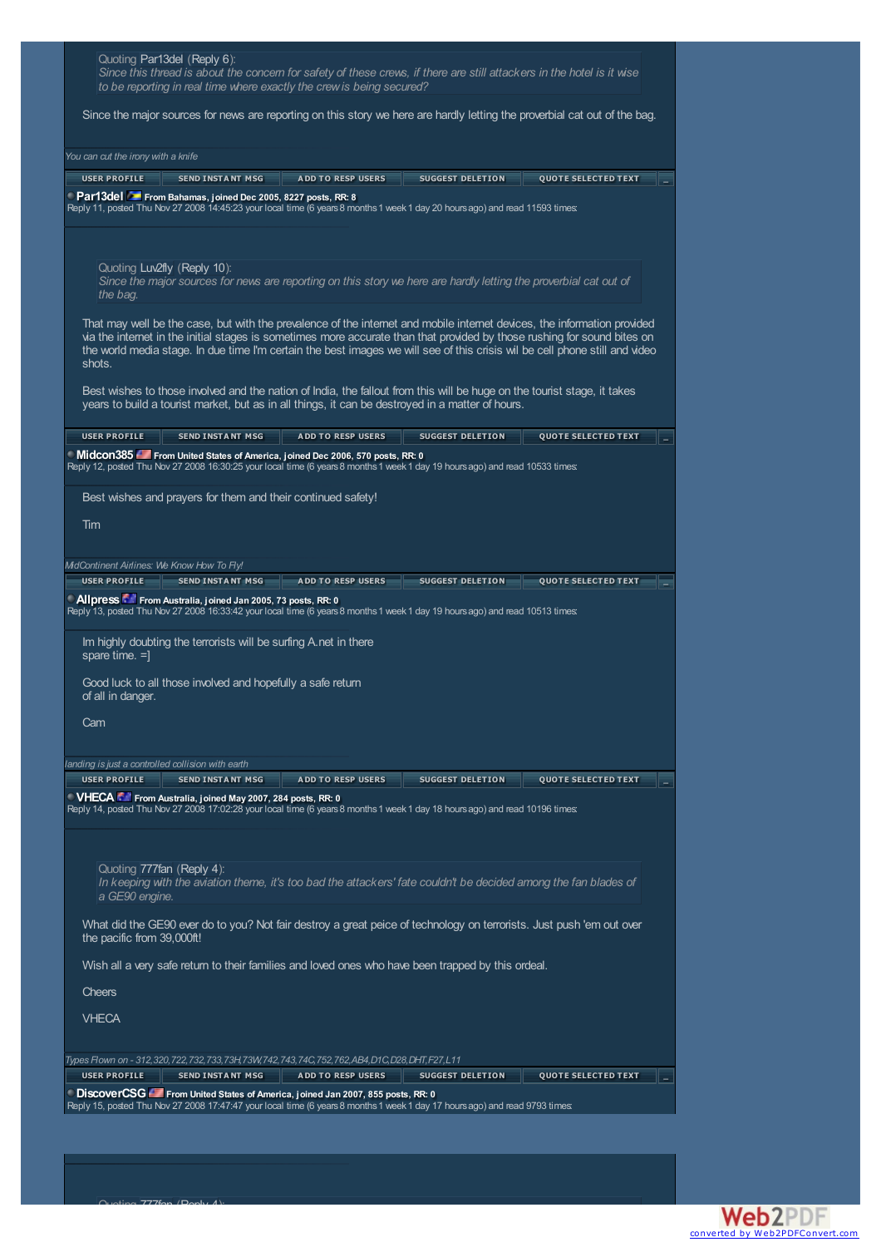| Quoting Par13del (Reply 6):<br>Since this thread is about the concem for safety of these crews, if there are still attackers in the hotel is it wise<br>to be reporting in real time where exactly the crew is being secured?                                                                                                                                                                 |
|-----------------------------------------------------------------------------------------------------------------------------------------------------------------------------------------------------------------------------------------------------------------------------------------------------------------------------------------------------------------------------------------------|
| Since the major sources for news are reporting on this story we here are hardly letting the proverbial cat out of the bag.                                                                                                                                                                                                                                                                    |
| You can cut the irony with a knife                                                                                                                                                                                                                                                                                                                                                            |
| <b>USER PROFILE</b><br><b>SEND INSTANT MSG</b><br><b>ADD TO RESP USERS</b><br><b>SUGGEST DELETION</b><br><b>QUOTE SELECTED TEXT</b>                                                                                                                                                                                                                                                           |
| Par13del From Bahamas, joined Dec 2005, 8227 posts, RR: 8<br>Reply 11, posted Thu Nov 27 2008 14:45:23 your local time (6 years 8 months 1 week 1 day 20 hours ago) and read 11593 times:                                                                                                                                                                                                     |
| Quoting Luv2fly (Reply 10):<br>Since the major sources for news are reporting on this story we here are hardly letting the proverbial cat out of<br>the bag.                                                                                                                                                                                                                                  |
| That may well be the case, but with the prevalence of the internet and mobile internet devices, the information provided<br>via the internet in the initial stages is sometimes more accurate than that provided by those rushing for sound bites on<br>the world media stage. In due time I'm certain the best images we will see of this crisis wil be cell phone still and video<br>shots. |
| Best wishes to those involved and the nation of India, the fallout from this will be huge on the tourist stage, it takes<br>years to build a tourist market, but as in all things, it can be destroyed in a matter of hours.                                                                                                                                                                  |
| <b>USER PROFILE</b><br><b>SEND INSTANT MSG</b><br><b>ADD TO RESP USERS</b><br><b>SUGGEST DELETION</b><br><b>OUOTE SELECTED TEXT</b>                                                                                                                                                                                                                                                           |
| Midcon385 From United States of America, joined Dec 2006, 570 posts, RR: 0<br>Reply 12, posted Thu Nov 27 2008 16:30:25 your local time (6 years 8 months 1 week 1 day 19 hours ago) and read 10533 times:                                                                                                                                                                                    |
| Best wishes and prayers for them and their continued safety!                                                                                                                                                                                                                                                                                                                                  |
| Tim                                                                                                                                                                                                                                                                                                                                                                                           |
| MidContinent Airlines: We Know How To Fly!                                                                                                                                                                                                                                                                                                                                                    |
| <b>USER PROFILE</b><br><b>SEND INSTANT MSG</b><br><b>QUOTE SELECTED TEXT</b><br><b>ADD TO RESP USERS</b><br>SUGGEST DELETION<br><b>Allpress Fig. From Australia, joined Jan 2005, 73 posts, RR: 0</b><br>Reply 13, posted Thu Nov 27 2008 16:33:42 your local time (6 years 8 months 1 week 1 day 19 hours ago) and read 10513 times:                                                         |
| Im highly doubting the terrorists will be surfing A.net in there<br>spare time. $=$ ]                                                                                                                                                                                                                                                                                                         |
| Good luck to all those involved and hopefully a safe return<br>of all in danger.                                                                                                                                                                                                                                                                                                              |
| Cam                                                                                                                                                                                                                                                                                                                                                                                           |
| landing is just a controlled collision with earth                                                                                                                                                                                                                                                                                                                                             |
| <b>USER PROFILE</b><br><b>SEND INSTANT MSG</b><br><b>ADD TO RESP USERS</b><br><b>SUGGEST DELETION</b><br><b>QUOTE SELECTED TEXT</b><br>VHECA From Australia, joined May 2007, 284 posts, RR: 0<br>Reply 14, posted Thu Nov 27 2008 17:02:28 your local time (6 years 8 months 1 week 1 day 18 hours ago) and read 10196 times                                                                 |
| Quoting 777fan (Reply 4):<br>In keeping with the aviation theme, it's too bad the attackers' fate couldn't be decided among the fan blades of<br>a GE90 engine.                                                                                                                                                                                                                               |
| What did the GE90 ever do to you? Not fair destroy a great peice of technology on terrorists. Just push 'em out over<br>the pacific from 39,000ft!                                                                                                                                                                                                                                            |
| Wish all a very safe return to their families and loved ones who have been trapped by this ordeal.                                                                                                                                                                                                                                                                                            |
| <b>Cheers</b>                                                                                                                                                                                                                                                                                                                                                                                 |
| <b>VHECA</b>                                                                                                                                                                                                                                                                                                                                                                                  |
| Types Flown on - 312,320,722,732,733,73H,73W,742,743,74C,752,762,AB4,D1C,D28,DHT,F27,L11                                                                                                                                                                                                                                                                                                      |
| <b>USER PROFILE</b><br><b>SEND INSTANT MSG</b><br><b>ADD TO RESP USERS</b><br><b>SUGGEST DELETION</b><br><b>QUOTE SELECTED TEXT</b><br>DiscoverCSG Form United States of America, joined Jan 2007, 855 posts, RR: 0                                                                                                                                                                           |
| Reply 15, posted Thu Nov 27 2008 17:47:47 your local time (6 years 8 months 1 week 1 day 17 hours ago) and read 9793 times:                                                                                                                                                                                                                                                                   |

 $\bigcap_{v \in \text{time}}$  777fan (Reply 4):

Web2PDFConvert.com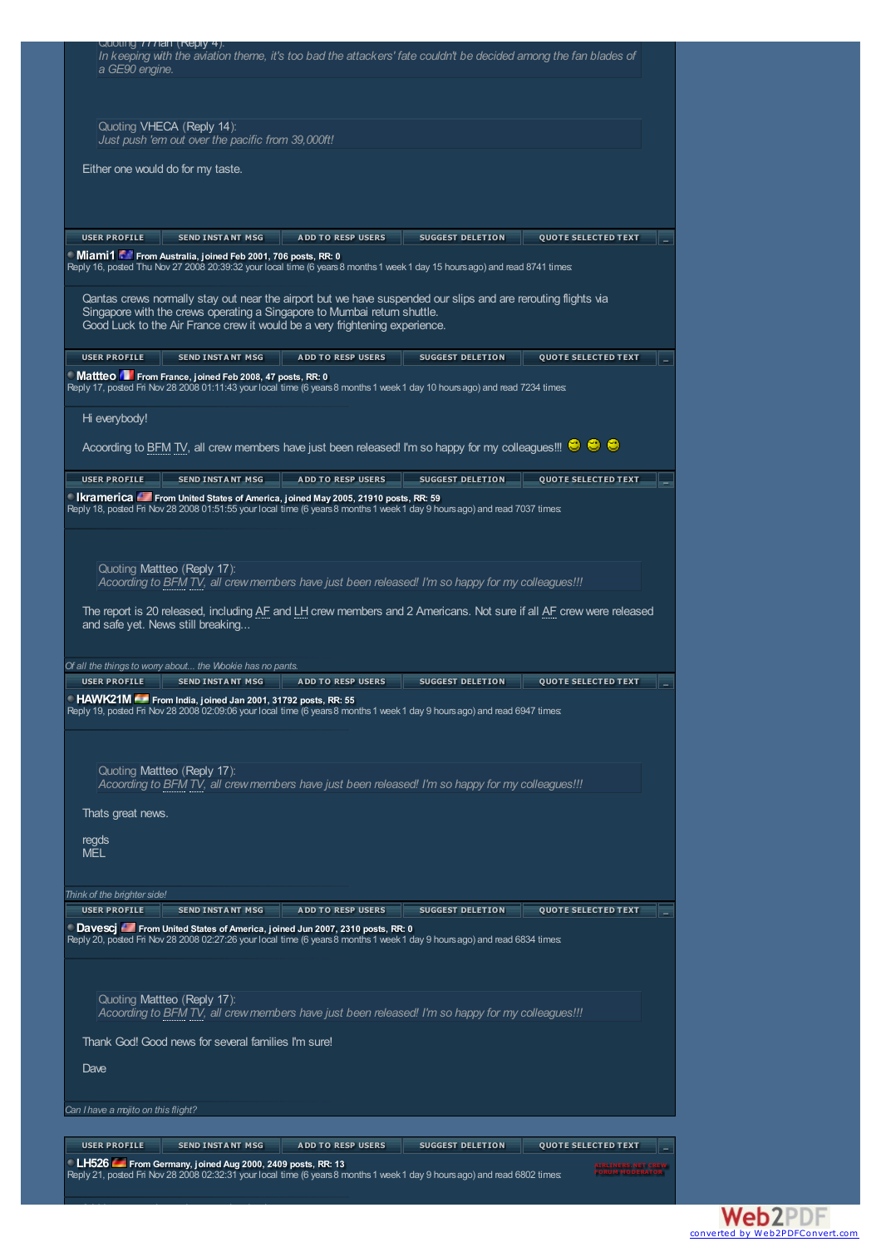| a GE90 engine.                      | Quoting ///lan (Reply 4).                                                                                                                        |                                                                                                                                                         | In keeping with the aviation theme, it's too bad the attackers' fate couldn't be decided among the fan blades of                                                                                                                             |                                                                                                                    |  |
|-------------------------------------|--------------------------------------------------------------------------------------------------------------------------------------------------|---------------------------------------------------------------------------------------------------------------------------------------------------------|----------------------------------------------------------------------------------------------------------------------------------------------------------------------------------------------------------------------------------------------|--------------------------------------------------------------------------------------------------------------------|--|
|                                     | Quoting VHECA (Reply 14):<br>Just push 'em out over the pacific from 39,000ft!                                                                   |                                                                                                                                                         |                                                                                                                                                                                                                                              |                                                                                                                    |  |
|                                     | Either one would do for my taste.                                                                                                                |                                                                                                                                                         |                                                                                                                                                                                                                                              |                                                                                                                    |  |
|                                     |                                                                                                                                                  |                                                                                                                                                         |                                                                                                                                                                                                                                              |                                                                                                                    |  |
| <b>USER PROFILE</b>                 | <b>SEND INSTANT MSG</b><br>Miami1 From Australia, joined Feb 2001, 706 posts, RR: 0                                                              | <b>ADD TO RESP USERS</b>                                                                                                                                | <b>SUGGEST DELETION</b>                                                                                                                                                                                                                      | <b>QUOTE SELECTED TEXT</b>                                                                                         |  |
|                                     |                                                                                                                                                  | Singapore with the crews operating a Singapore to Mumbai return shuttle.<br>Good Luck to the Air France crew it would be a very frightening experience. | Reply 16, posted Thu Nov 27 2008 20:39:32 your local time (6 years 8 months 1 week 1 day 15 hours ago) and read 8741 times:<br>Qantas crews normally stay out near the airport but we have suspended our slips and are rerouting flights via |                                                                                                                    |  |
| <b>USER PROFILE</b>                 | <b>SEND INSTANT MSG</b>                                                                                                                          | <b>ADD TO RESP USERS</b>                                                                                                                                | <b>SUGGEST DELETION</b>                                                                                                                                                                                                                      | <b>QUOTE SELECTED TEXT</b>                                                                                         |  |
|                                     | ■ Mattteo ■ From France, joined Feb 2008, 47 posts, RR: 0                                                                                        |                                                                                                                                                         | Reply 17, posted Fri Nov 28 2008 01:11:43 your local time (6 years 8 months 1 week 1 day 10 hours ago) and read 7234 times:                                                                                                                  |                                                                                                                    |  |
| Hi everybody!                       |                                                                                                                                                  |                                                                                                                                                         |                                                                                                                                                                                                                                              |                                                                                                                    |  |
|                                     |                                                                                                                                                  |                                                                                                                                                         | According to BFM TV, all crew members have just been released! I'm so happy for my colleagues!!! <sup>©</sup> $\bullet$ $\bullet$                                                                                                            |                                                                                                                    |  |
| <b>USER PROFILE</b>                 | <b>SEND INSTANT MSG</b>                                                                                                                          | <b>ADD TO RESP USERS</b>                                                                                                                                | SUGGEST DELETION                                                                                                                                                                                                                             | <b>QUOTE SELECTED TEXT</b>                                                                                         |  |
|                                     | Quoting Mattleo (Reply 17):                                                                                                                      | <b>Ikramerica</b> From United States of America, joined May 2005, 21910 posts, RR: 59                                                                   | Reply 18, posted Fri Nov 28 2008 01:51:55 your local time (6 years 8 months 1 week 1 day 9 hours ago) and read 7037 times:<br>Acoording to BFM TV, all crew members have just been released! I'm so happy for my colleagues!!!               |                                                                                                                    |  |
|                                     | and safe yet. News still breaking                                                                                                                |                                                                                                                                                         |                                                                                                                                                                                                                                              | The report is 20 released, including AF and LH crew members and 2 Americans. Not sure if all AF crew were released |  |
| <b>USER PROFILE</b>                 | Of all the things to worry about the Wookie has no pants.<br><b>SEND INSTANT MSG</b><br>HAWK21M From India, ioined Jan 2001, 31792 posts, RR: 55 | <b>ADD TO RESP USERS</b>                                                                                                                                | <b>SUGGEST DELETION</b><br>Reply 19, posted Fri Nov 28 2008 02:09:06 your local time (6 years 8 months 1 week 1 day 9 hours ago) and read 6947 times:                                                                                        | <b>QUOTE SELECTED TEXT</b>                                                                                         |  |
| Thats great news.                   | Quoting Mattteo (Reply 17):                                                                                                                      |                                                                                                                                                         | Acoording to BFM TV, all crew members have just been released! I'm so happy for my colleagues!!!                                                                                                                                             |                                                                                                                    |  |
| regds<br><b>MEL</b>                 |                                                                                                                                                  |                                                                                                                                                         |                                                                                                                                                                                                                                              |                                                                                                                    |  |
| Think of the brighter side!         |                                                                                                                                                  |                                                                                                                                                         |                                                                                                                                                                                                                                              |                                                                                                                    |  |
| <b>USER PROFILE</b>                 | <b>SEND INSTANT MSG</b>                                                                                                                          | <b>ADD TO RESP USERS</b><br>Davescj From United States of America, joined Jun 2007, 2310 posts, RR: 0                                                   | <b>SUGGEST DELETION</b><br>Reply 20, posted Fri Nov 28 2008 02:27:26 your local time (6 years 8 months 1 week 1 day 9 hours ago) and read 6834 times:                                                                                        | <b>QUOTE SELECTED TEXT</b>                                                                                         |  |
|                                     | Quoting Mattteo (Reply 17):<br>Thank God! Good news for several families I'm sure!                                                               |                                                                                                                                                         | Acoording to BFM TV, all crew members have just been released! I'm so happy for my colleagues!!!                                                                                                                                             |                                                                                                                    |  |
| Dave                                |                                                                                                                                                  |                                                                                                                                                         |                                                                                                                                                                                                                                              |                                                                                                                    |  |
|                                     |                                                                                                                                                  |                                                                                                                                                         |                                                                                                                                                                                                                                              |                                                                                                                    |  |
| Can I have a mojito on this flight? |                                                                                                                                                  |                                                                                                                                                         |                                                                                                                                                                                                                                              |                                                                                                                    |  |
| <b>USER PROFILE</b>                 | <b>SEND INSTANT MSG</b>                                                                                                                          | <b>ADD TO RESP USERS</b>                                                                                                                                | <b>SUGGEST DELETION</b>                                                                                                                                                                                                                      | <b>QUOTE SELECTED TEXT</b>                                                                                         |  |
|                                     | LH526 From Germany, joined Aug 2000, 2409 posts, RR: 13                                                                                          |                                                                                                                                                         | Reply 21, posted Fri Nov 28 2008 02:32:31 your local time (6 years 8 months 1 week 1 day 9 hours ago) and read 6802 times:                                                                                                                   |                                                                                                                    |  |

3 LH crewmembers also were involved ...

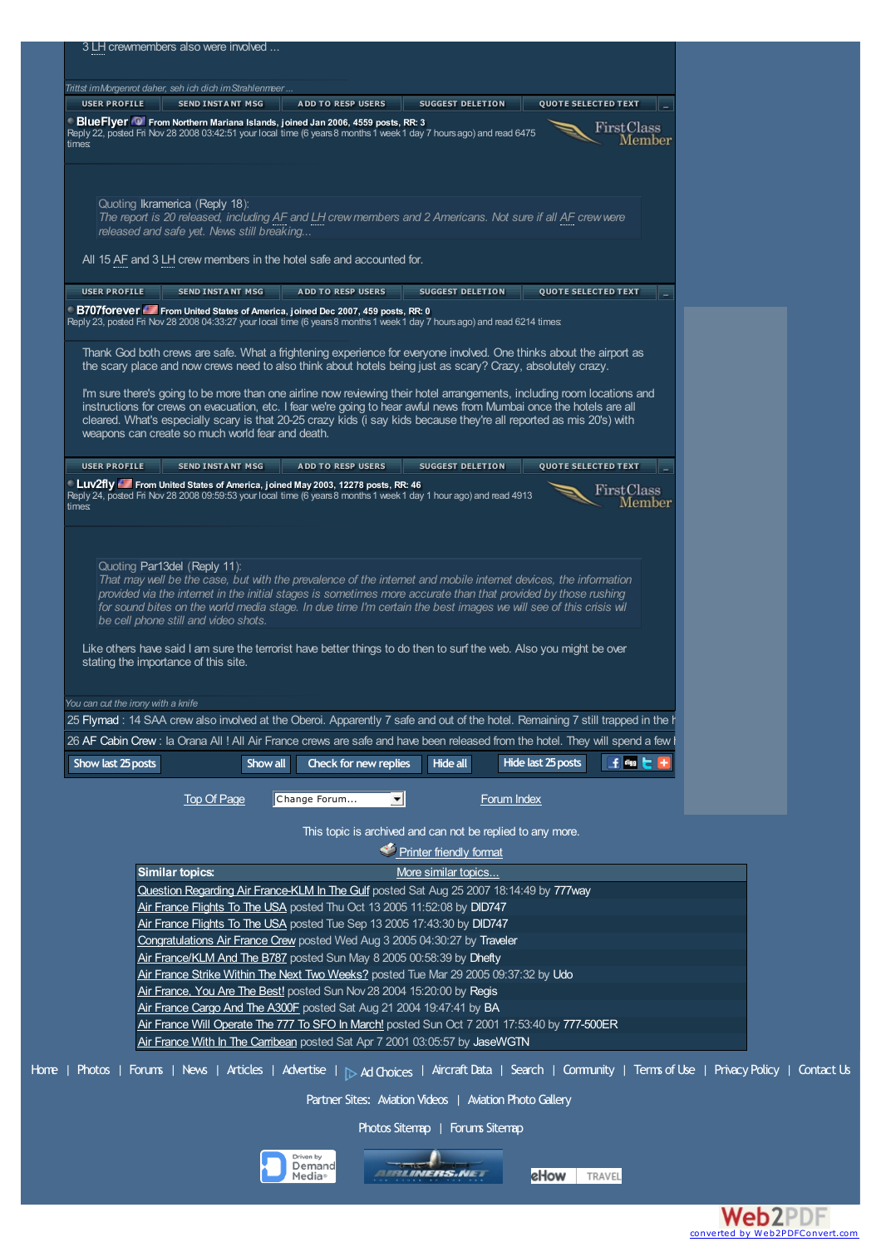| <b>USER PROFILE</b> | Trittst im Morgenrot daher, seh ich dich im Strahlenmeer                                                                                                                                                                           |                          |                                                                                            |                         |                            |                      |  |
|---------------------|------------------------------------------------------------------------------------------------------------------------------------------------------------------------------------------------------------------------------------|--------------------------|--------------------------------------------------------------------------------------------|-------------------------|----------------------------|----------------------|--|
|                     | <b>SEND INSTANT MSG</b>                                                                                                                                                                                                            | <b>ADD TO RESP USERS</b> |                                                                                            | <b>SUGGEST DELETION</b> | <b>QUOTE SELECTED TEXT</b> |                      |  |
|                     | Blue Flyer <sup>10</sup> From Northern Mariana Islands, joined Jan 2006, 4559 posts, RR: 3<br>Reply 22, posted Fri Nov 28 2008 03:42:51 your local time (6 years 8 months 1 week 1 day 7 hours ago) and read 6475                  |                          |                                                                                            |                         |                            | FirstClass           |  |
| times               |                                                                                                                                                                                                                                    |                          |                                                                                            |                         |                            | Member               |  |
|                     |                                                                                                                                                                                                                                    |                          |                                                                                            |                         |                            |                      |  |
|                     | Quoting Ikramerica (Reply 18):                                                                                                                                                                                                     |                          |                                                                                            |                         |                            |                      |  |
|                     | The report is 20 released, including AF and LH crew members and 2 Americans. Not sure if all AF crew were                                                                                                                          |                          |                                                                                            |                         |                            |                      |  |
|                     | released and safe yet. News still breaking                                                                                                                                                                                         |                          |                                                                                            |                         |                            |                      |  |
|                     | All 15 AF and 3 LH crew members in the hotel safe and accounted for.                                                                                                                                                               |                          |                                                                                            |                         |                            |                      |  |
| <b>USER PROFILE</b> | <b>SEND INSTANT MSG</b>                                                                                                                                                                                                            | <b>ADD TO RESP USERS</b> |                                                                                            | <b>SUGGEST DELETION</b> | <b>QUOTE SELECTED TEXT</b> |                      |  |
|                     | B707forever From United States of America, joined Dec 2007, 459 posts, RR: 0<br>Reply 23, posted Fri Nov 28 2008 04:33:27 your local time (6 years 8 months 1 week 1 day 7 hours ago) and read 6214 times:                         |                          |                                                                                            |                         |                            |                      |  |
|                     |                                                                                                                                                                                                                                    |                          |                                                                                            |                         |                            |                      |  |
|                     | Thank God both crews are safe. What a frightening experience for everyone involved. One thinks about the airport as<br>the scary place and now crews need to also think about hotels being just as scary? Crazy, absolutely crazy. |                          |                                                                                            |                         |                            |                      |  |
|                     | I'm sure there's going to be more than one airline now reviewing their hotel arrangements, including room locations and                                                                                                            |                          |                                                                                            |                         |                            |                      |  |
|                     | instructions for crews on evacuation, etc. I fear we're going to hear awful news from Mumbai once the hotels are all                                                                                                               |                          |                                                                                            |                         |                            |                      |  |
|                     | cleared. What's especially scary is that 20-25 crazy kids (i say kids because they're all reported as mis 20's) with<br>weapons can create so much world fear and death.                                                           |                          |                                                                                            |                         |                            |                      |  |
|                     |                                                                                                                                                                                                                                    |                          |                                                                                            |                         |                            |                      |  |
| <b>USER PROFILE</b> | <b>SEND INSTANT MSG</b><br>Luv2fly From United States of America, joined May 2003, 12278 posts, RR: 46                                                                                                                             | <b>ADD TO RESP USERS</b> |                                                                                            | <b>SUGGEST DELETION</b> | <b>QUOTE SELECTED TEXT</b> |                      |  |
| times               | Reply 24, posted Fri Nov 28 2008 09:59:53 your local time (6 years 8 months 1 week 1 day 1 hour ago) and read 4913                                                                                                                 |                          |                                                                                            |                         |                            | FirstClass<br>Member |  |
|                     |                                                                                                                                                                                                                                    |                          |                                                                                            |                         |                            |                      |  |
|                     |                                                                                                                                                                                                                                    |                          |                                                                                            |                         |                            |                      |  |
|                     | Quoting Par13del (Reply 11):                                                                                                                                                                                                       |                          |                                                                                            |                         |                            |                      |  |
|                     |                                                                                                                                                                                                                                    |                          |                                                                                            |                         |                            |                      |  |
|                     | That may well be the case, but with the prevalence of the internet and mobile internet devices, the information                                                                                                                    |                          |                                                                                            |                         |                            |                      |  |
|                     | provided via the internet in the initial stages is sometimes more accurate than that provided by those rushing                                                                                                                     |                          |                                                                                            |                         |                            |                      |  |
|                     | for sound bites on the world media stage. In due time I'm certain the best images we will see of this crisis wil<br>be cell phone still and video shots.                                                                           |                          |                                                                                            |                         |                            |                      |  |
|                     |                                                                                                                                                                                                                                    |                          |                                                                                            |                         |                            |                      |  |
|                     | Like others have said I am sure the terrorist have better things to do then to surf the web. Also you might be over<br>stating the importance of this site.                                                                        |                          |                                                                                            |                         |                            |                      |  |
|                     |                                                                                                                                                                                                                                    |                          |                                                                                            |                         |                            |                      |  |
|                     | You can cut the irony with a knife                                                                                                                                                                                                 |                          |                                                                                            |                         |                            |                      |  |
|                     | 25 Flymad : 14 SAA crew also involved at the Oberoi. Apparently 7 safe and out of the hotel. Remaining 7 still trapped in the h                                                                                                    |                          |                                                                                            |                         |                            |                      |  |
|                     | 26 AF Cabin Crew : la Orana All ! All Air France crews are safe and have been released from the hotel. They will spend a few l                                                                                                     |                          |                                                                                            |                         |                            |                      |  |
| Show last 25 posts  |                                                                                                                                                                                                                                    | Show all                 | Check for new replies                                                                      | <b>Hide all</b>         | Hide last 25 posts         | 王嗣七十                 |  |
|                     | <b>Top Of Page</b>                                                                                                                                                                                                                 | Change Forum             | $\vert \mathbf{v} \vert$                                                                   | Forum Index             |                            |                      |  |
|                     |                                                                                                                                                                                                                                    |                          |                                                                                            |                         |                            |                      |  |
|                     |                                                                                                                                                                                                                                    |                          | This topic is archived and can not be replied to any more.                                 |                         |                            |                      |  |
|                     |                                                                                                                                                                                                                                    |                          | Printer friendly format                                                                    |                         |                            |                      |  |
|                     | <b>Similar topics:</b><br>Question Regarding Air France-KLM In The Gulf posted Sat Aug 25 2007 18:14:49 by 777way                                                                                                                  |                          |                                                                                            | More similar topics     |                            |                      |  |
|                     | Air France Flights To The USA posted Thu Oct 13 2005 11:52:08 by DID747                                                                                                                                                            |                          |                                                                                            |                         |                            |                      |  |
|                     | Air France Flights To The USA posted Tue Sep 13 2005 17:43:30 by DID747                                                                                                                                                            |                          |                                                                                            |                         |                            |                      |  |
|                     | Congratulations Air France Crew posted Wed Aug 3 2005 04:30:27 by Traveler                                                                                                                                                         |                          |                                                                                            |                         |                            |                      |  |
|                     | Air France/KLM And The B787 posted Sun May 8 2005 00:58:39 by Dhefty                                                                                                                                                               |                          |                                                                                            |                         |                            |                      |  |
|                     | Air France Strike Within The Next Two Weeks? posted Tue Mar 29 2005 09:37:32 by Udo<br>Air France, You Are The Best! posted Sun Nov 28 2004 15:20:00 by Regis                                                                      |                          |                                                                                            |                         |                            |                      |  |
|                     | Air France Cargo And The A300F posted Sat Aug 21 2004 19:47:41 by BA                                                                                                                                                               |                          |                                                                                            |                         |                            |                      |  |
|                     | Air France Will Operate The 777 To SFO In March! posted Sun Oct 7 2001 17:53:40 by 777-500ER                                                                                                                                       |                          |                                                                                            |                         |                            |                      |  |
|                     | Air France With In The Carribean posted Sat Apr 7 2001 03:05:57 by JaseWGTN                                                                                                                                                        |                          |                                                                                            |                         |                            |                      |  |
|                     | Home   Photos   Forums   News   Articles   Advertise   <sub>D</sub> Ad Choices   Aircraft Data   Search   Community   Terms of Use   Privacy Policy   Contact Us                                                                   |                          |                                                                                            |                         |                            |                      |  |
|                     |                                                                                                                                                                                                                                    |                          | Partner Sites: Aviation Videos   Aviation Photo Gallery<br>Photos Sitemap   Forums Sitemap |                         |                            |                      |  |



 $\alpha$ 



**eHow** TRAVEL